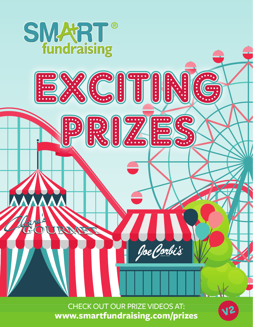

CHECK OUT OUR PRIZE VIDEOS AT: **www.smartfundraising.com/prizes**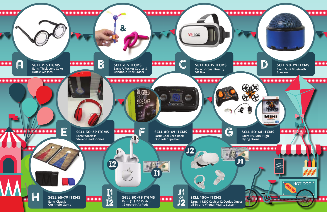